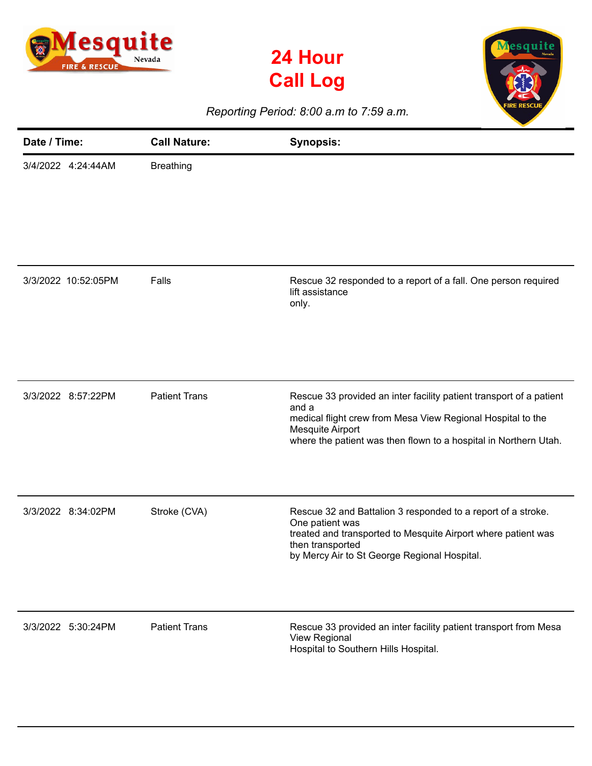

**24 Hour Call Log**



*Reporting Period: 8:00 a.m to 7:59 a.m.*

| Date / Time:        | <b>Call Nature:</b>  | <b>Synopsis:</b>                                                                                                                                                                                                                    |
|---------------------|----------------------|-------------------------------------------------------------------------------------------------------------------------------------------------------------------------------------------------------------------------------------|
| 3/4/2022 4:24:44AM  | <b>Breathing</b>     |                                                                                                                                                                                                                                     |
| 3/3/2022 10:52:05PM | Falls                | Rescue 32 responded to a report of a fall. One person required<br>lift assistance<br>only.                                                                                                                                          |
| 3/3/2022 8:57:22PM  | <b>Patient Trans</b> | Rescue 33 provided an inter facility patient transport of a patient<br>and a<br>medical flight crew from Mesa View Regional Hospital to the<br>Mesquite Airport<br>where the patient was then flown to a hospital in Northern Utah. |
| 3/3/2022 8:34:02PM  | Stroke (CVA)         | Rescue 32 and Battalion 3 responded to a report of a stroke.<br>One patient was<br>treated and transported to Mesquite Airport where patient was<br>then transported<br>by Mercy Air to St George Regional Hospital.                |
| 3/3/2022 5:30:24PM  | <b>Patient Trans</b> | Rescue 33 provided an inter facility patient transport from Mesa<br>View Regional<br>Hospital to Southern Hills Hospital.                                                                                                           |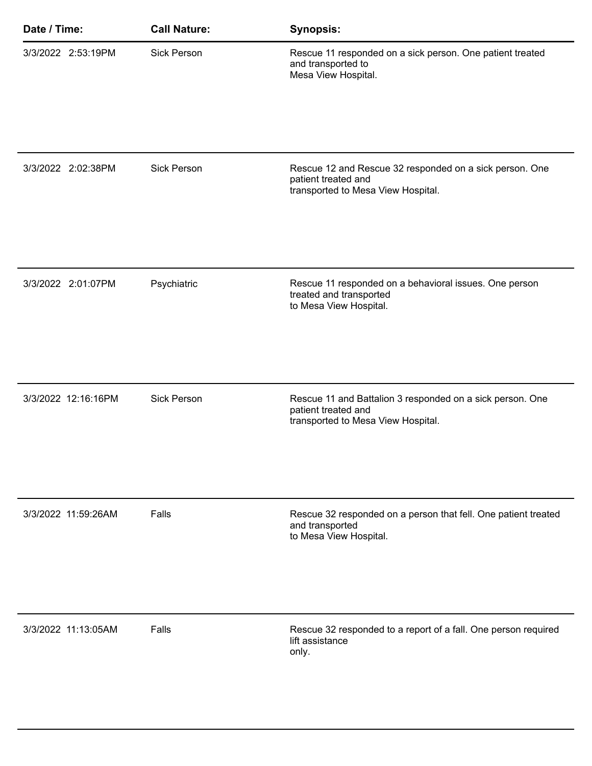| Date / Time:        | <b>Call Nature:</b> | <b>Synopsis:</b>                                                                                                       |
|---------------------|---------------------|------------------------------------------------------------------------------------------------------------------------|
| 3/3/2022 2:53:19PM  | <b>Sick Person</b>  | Rescue 11 responded on a sick person. One patient treated<br>and transported to<br>Mesa View Hospital.                 |
| 3/3/2022 2:02:38PM  | <b>Sick Person</b>  | Rescue 12 and Rescue 32 responded on a sick person. One<br>patient treated and<br>transported to Mesa View Hospital.   |
| 3/3/2022 2:01:07PM  | Psychiatric         | Rescue 11 responded on a behavioral issues. One person<br>treated and transported<br>to Mesa View Hospital.            |
| 3/3/2022 12:16:16PM | <b>Sick Person</b>  | Rescue 11 and Battalion 3 responded on a sick person. One<br>patient treated and<br>transported to Mesa View Hospital. |
| 3/3/2022 11:59:26AM | Falls               | Rescue 32 responded on a person that fell. One patient treated<br>and transported<br>to Mesa View Hospital.            |
| 3/3/2022 11:13:05AM | Falls               | Rescue 32 responded to a report of a fall. One person required<br>lift assistance<br>only.                             |